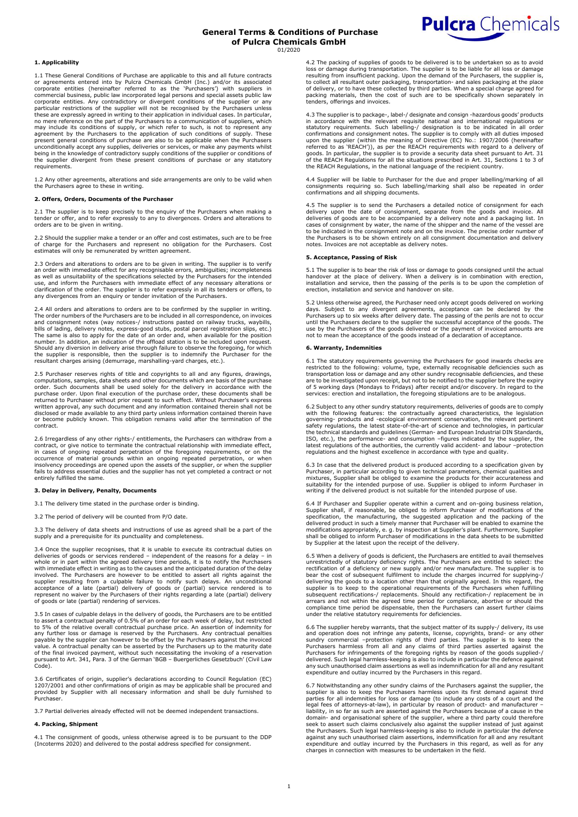

1.1 These General Conditions of Purchase are applicable to this and all future contracts<br>or agreements entered into by Pulcra Chemicals GmbH (Inc.) and/or its associated<br>corporate entities (hereinafter referred to as the ' corporate entities. Any contradictory or divergent conditions of the supplier or any<br>particular restrictions of the supplier will not be recognised by the Purchasers unless<br>these are expressly agreed in writing to their ap no mere reference on the part of the Purchasers to a communication of suppliers, which may include its conditions of supply, or which refer to such, is not to represent any agreement by the Purchasers to the application of such conditions of supply. These present general conditions of purchase are also to be applicable when the Purchasers unconditionally accept any supplies, deliveries or services, or make any payments whilst being in the knowledge of contradictory supply conditions of the supplier or conditions of the supplier divergent from these present conditions of purchase or any statutory requirements.

1.2 Any other agreements, alterations and side arrangements are only to be valid when the Purchasers agree to these in writing.

# **2. Offers, Orders, Documents of the Purchaser**

2.1 The supplier is to keep precisely to the enquiry of the Purchasers when making a tender or offer, and to refer expressly to any to divergences. Orders and alterations to orders are to be given in writing.

2.2 Should the supplier make a tender or an offer and cost estimates, such are to be free of charge for the Purchasers and represent no obligation for the Purchasers. Cost estimates will only be remunerated by written agreement.

2.3 Orders and alterations to orders are to be given in writing. The supplier is to verify an order with immediate effect for any recognisable errors, ambiguities; incompleteness as well as unsuitability of the specifications selected by the Purchasers for the intended use, and inform the Purchasers with immediate effect of any necessary alterations or clarification of the order. The supplier is to refer expressly in all its tenders or offers, to any divergences from an enquiry or tender invitation of the Purchasers.

2.4 All orders and alterations to orders are to be confirmed by the supplier in writing. The order numbers of the Purchasers are to be included in all correspondence, on invoices and consignment notes (way notices-/ instructions pasted on railway trucks, waybills,<br>bills of lading, delivery notes, express-good stubs, postal parcel registration slips, etc.)<br>The same is also to apply for the date of a Should any diversion in delivery arise through failure to observe the foregoing, for which the supplier is responsible, then the supplier is to indemnify the Purchaser for the resultant charges arising (demurrage, marshalling-yard charges, etc.).

2.5 Purchaser reserves rights of title and copyrights to all and any figures, drawings,<br>computations, samples, data sheets and other documents which are basis of the purchase<br>order. Such documents shall be used solely for purchase order. Upon final execution of the purchase order, these documents shall be returned to Purchaser without prior request to such effect. Without Purchaser's express written approval, any such document and any information contained therein shall not be<br>disclosed or made available to any third party unless information contained therein have<br>or become publicly known. This obligation rema contract.

2.6 Irregardless of any other rights-/ entitlements, the Purchasers can withdraw from a contract, or give notice to terminate the contractual relationship with immediate effect, in cases of ongoing repeated perpetration of the foregoing requirements, or on the occurrence of material grounds within an ongoing repeated perpetration, or when<br>insolvency proceedings are opened upon the assets of the supplier, or when the supplier<br>fails to address essential duties and the supplier has entirely fulfilled the same

#### **3. Delay in Delivery, Penalty, Documents**

3.1 The delivery time stated in the purchase order is binding.

3.2 The period of delivery will be counted from P/O date.

3.3 The delivery of data sheets and instructions of use as agreed shall be a part of the supply and a prerequisite for its punctuality and completeness.

3.4 Once the supplier recognises, that it is unable to execute its contractual duties on deliveries of goods or services rendered – independent of the reasons for a delay – in whole or in part within the agreed delivery time periods, it is to notify the Purchasers<br>with immediate effect in writing as to the causes and the anticipated duration of the delay<br>involved. The Purchasers are however to b supplier resulting from a culpable failure to notify such delays. An unconditional<br>acceptance of a late (partial) delivery of goods or (partial) service rendered is to<br>represent no waiver by the Purchasers of their rights of goods or late (partial) rendering of services.

3.5 In cases of culpable delays in the delivery of goods, the Purchasers are to be entitled to assert a contractual penalty of 0.5% of an order for each week of delay, but restricted to 5% of the relative overall contractual purchase price. An assertion of indemnity for<br>any further loss or damage is reserved by the Purchasers. Any contractual penalties<br>payable by the supplier can however to be offset b value. A contractual penalty can be asserted by the Purchasers up to the maturity date<br>of the final invoiced payment, without such necessitating the invoking of a reservation<br>pursuant to Art. 341, Para. 3 of the German 'BG

3.6 Certificates of origin, supplier's declarations according to Council Regulation (EC) 1207/2001 and other confirmations of origin as may be applicable shall be procured and provided by Supplier with all necessary information and shall be duly furnished to Purchaser.

3.7 Partial deliveries already effected will not be deemed independent transactions.

### **4. Packing, Shipment**

4.1 The consignment of goods, unless otherwise agreed is to be pursuant to the DDP (Incoterms 2020) and delivered to the postal address specified for consignment.

4.2 The packing of supplies of goods to be delivered is to be undertaken so as to avoid loss or damage during transportation. The supplier is to be liable for all loss or damage<br>resulting from insufficient packing. Upon the demand of the Purchasers, the supplier is,<br>to collect all resultant outer packaging, t of delivery, or to have these collected by third parties. When a special charge agreed for packing materials, then the cost of such are to be specifically shown separately in tenders, offerings and invoices.

**Pulcra** Chemicals

4.3 The supplier is to package-, label-/ designate and consign -hazardous goods' products in accordance with the relevant requisite national and international regulations or statutory requirements. Such labelling-/ designation is to be indicated in all order confirmations and consignment notes. The supplier is goods. In particular, the supplier is to provide a security data sheet pursuant to Art. 31<br>of the REACH Regulations for all the situations prescribed in Art. 31, Sections 1 to 3 of<br>the REACH Regulations, in the national la

4.4 Supplier will be liable to Purchaser for the due and proper labelling/marking of all consignments requiring so. Such labelling/marking shall also be repeated in order confirmations and all shipping documents.

4.5 The supplier is to send the Purchasers a detailed notice of consignment for each delivery upon the date of consignment, separate from the goods and invoice. All<br>deliveries of goods are to be accompanied by a delivery note and a packaging list. In<br>cases of consignment by water, the name of the shipper a the Purchasers is to be shown entirely on all consignment documentation and delivery notes. Invoices are not acceptable as delivery notes.

#### **5. Acceptance, Passing of Risk**

5.1 The supplier is to bear the risk of loss or damage to goods consigned until the actual handover at the place of delivery. When a delivery is in combination with erection, installation and service, then the passing of the perils is to be upon the completion of erection, installation and service and handover on site.

5.2 Unless otherwise agreed, the Purchaser need only accept goods delivered on working days. Subject to any divergent agreements, acceptance can be declared by the Purchasers up to six weeks after delivery date. The passing of the perils are not to occur until the Purchasers declare to the supplier the successful acceptance of the goods. The use by the Purchasers of the goods delivered or the payment of invoiced amounts are not to mean the acceptance of the goods instead of a declaration of acceptance.

## **6. Warranty, Indemnities**

6.1 The statutory requirements governing the Purchasers for good inwards checks are restricted to the following: volume, type, externally recognisable deficiencies such as transportation loss or damage and any other sundar services: erection and installation, the foregoing stipulations are to be analogous.

6.2 Subject to any other sundry statutory requirements, deliveries of goods are to comply<br>with the following features: the contractually agreed characteristics, the legislation<br>governing- products and -ecological environme the technical standards and guidelines (German- and European Industrial DIN Standards, ISO, etc.), the performance- and consumption –figures indicated by the supplier, the latest regulations of the authorities, the currently valid accident- and labour –protection regulations and the highest excellence in accordance with type and quality.

6.3 In case that the delivered product is produced according to a specification given by Purchaser, in particular according to given technical parameters, chemical qualities and mixtures, Supplier shall be obliged to examine the products for their accurateness and<br>suitability for the intended purpose of use. Supplier is obliged to inform Purchaser in<br>writing if the delivered product is not suitabl

6.4 If Purchaser and Supplier operate within a current and on-going business relation,<br>Supplier shall, if reasonable, be obliged to inform Purchaser of modifications of the<br>specification, the manufacturing, the suggested a modifications appropriately, e. g. by inspection at Supplier's plant. Furthermore, Supplier shall be obliged to inform Purchaser of modifications in the data sheets to be submitted by Supplier at the latest upon the receipt of the delivery.

6.5 When a delivery of goods is deficient, the Purchasers are entitled to avail themselves unrestrictedly of statutory deficiency rights. The Purchasers are entitled to select: the<br>rectification of a deficiency or new supply and/or new manufacture. The supplier is to<br>bear the cost of subsequent fulfilment to inc delivering the goods to a location other than that originally agreed. In this regard, the<br>supplier is to keep to the operational requirements of the Purchasers when fulfilling<br>subsequent rectifications-/ replacements. Shou arrears and not within the agreed time period for compliance, abortive or should the compliance time period be dispensable, then the Purchasers can assert further claims under the relative statutory requirements for deficiencies.

6.6 The supplier hereby warrants, that the subject matter of its supply-/ delivery, its use and operation does not infringe any patents, license, copyrights, brand- or any other<br>sundry commercial –protection rights of third parties. The supplier is to keep the<br>Purchasers harmless from all and any claims of third any such unauthorised claim assertions as well as indemnification for all and any resultant expenditure and outlay incurred by the Purchasers in this regard.

6.7 Notwithstanding any other sundry claims of the Purchasers against the supplier, the supplier is also to keep the Purchasers harmless upon its first demand against third parties for all indemnities for loss or damage (to include any costs of a court and the legal fees of attorneys-at-law), in particular by reason of product- and manufacturer -<br>liability, in so far as such are asserted agai against any such unauthorised claim assertions, indemnification for all and any resultant expenditure and outlay incurred by the Purchasers in this regard, as well as for any charges in connection with measures to be undertaken in the field.